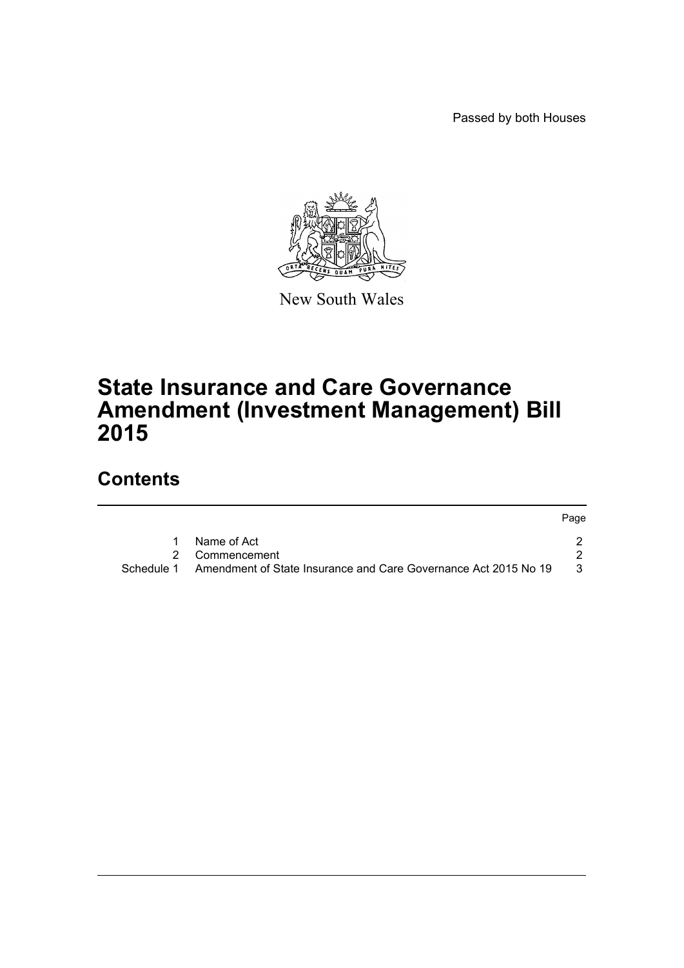Passed by both Houses



New South Wales

# **State Insurance and Care Governance Amendment (Investment Management) Bill 2015**

## **Contents**

|            |                                                                 | Page |
|------------|-----------------------------------------------------------------|------|
|            | Name of Act                                                     |      |
|            | 2 Commencement                                                  |      |
| Schedule 1 | Amendment of State Insurance and Care Governance Act 2015 No 19 | -3-  |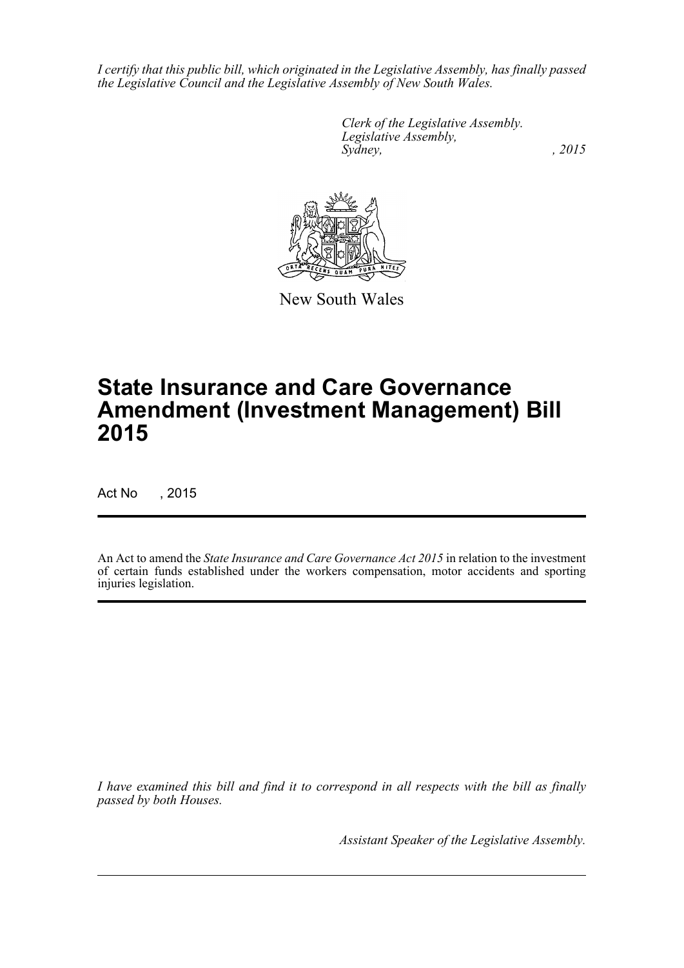*I certify that this public bill, which originated in the Legislative Assembly, has finally passed the Legislative Council and the Legislative Assembly of New South Wales.*

> *Clerk of the Legislative Assembly. Legislative Assembly, Sydney,* , 2015



New South Wales

# **State Insurance and Care Governance Amendment (Investment Management) Bill 2015**

Act No , 2015

An Act to amend the *State Insurance and Care Governance Act 2015* in relation to the investment of certain funds established under the workers compensation, motor accidents and sporting injuries legislation.

*I have examined this bill and find it to correspond in all respects with the bill as finally passed by both Houses.*

*Assistant Speaker of the Legislative Assembly.*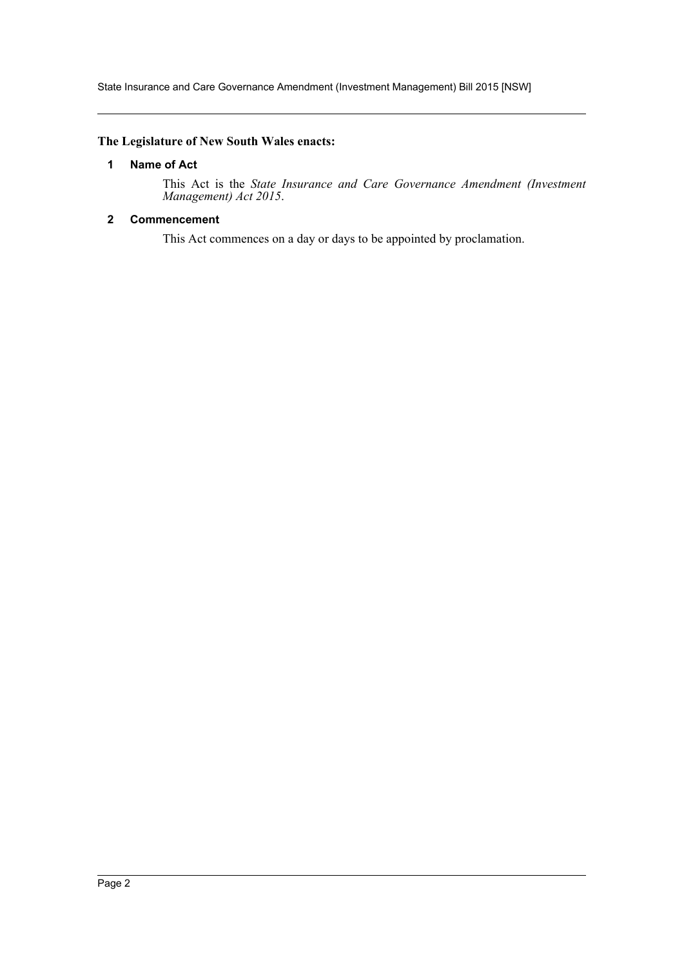State Insurance and Care Governance Amendment (Investment Management) Bill 2015 [NSW]

## <span id="page-2-0"></span>**The Legislature of New South Wales enacts:**

#### **1 Name of Act**

This Act is the *State Insurance and Care Governance Amendment (Investment Management) Act 2015*.

## <span id="page-2-1"></span>**2 Commencement**

This Act commences on a day or days to be appointed by proclamation.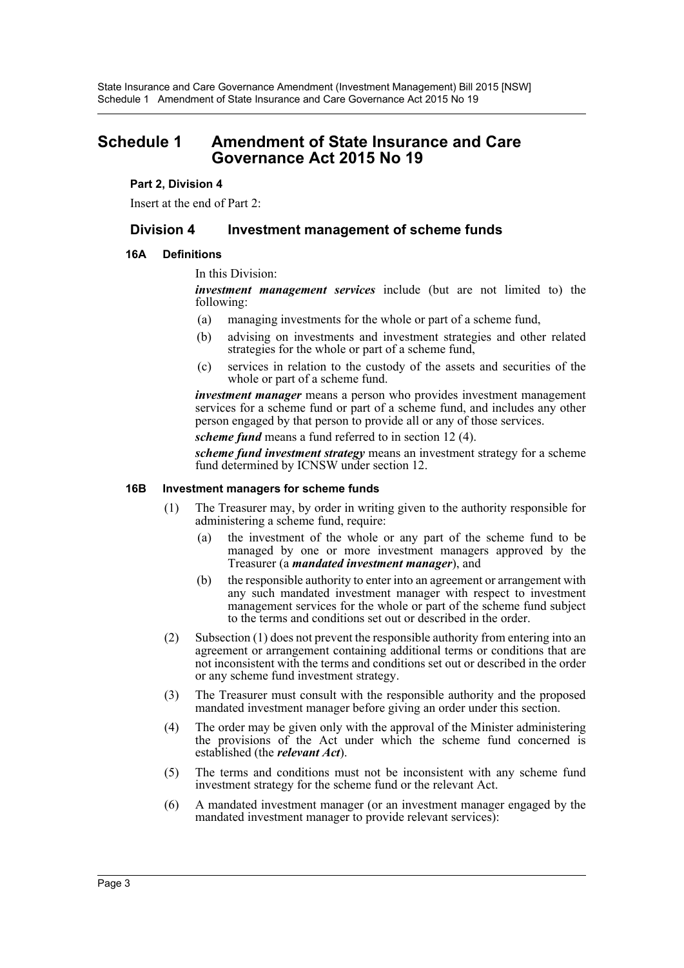## <span id="page-3-0"></span>**Schedule 1 Amendment of State Insurance and Care Governance Act 2015 No 19**

## **Part 2, Division 4**

Insert at the end of Part 2:

## **Division 4 Investment management of scheme funds**

### **16A Definitions**

In this Division:

*investment management services* include (but are not limited to) the following:

- (a) managing investments for the whole or part of a scheme fund,
- (b) advising on investments and investment strategies and other related strategies for the whole or part of a scheme fund,
- (c) services in relation to the custody of the assets and securities of the whole or part of a scheme fund.

*investment manager* means a person who provides investment management services for a scheme fund or part of a scheme fund, and includes any other person engaged by that person to provide all or any of those services.

*scheme fund* means a fund referred to in section 12 (4).

*scheme fund investment strategy* means an investment strategy for a scheme fund determined by ICNSW under section 12.

#### **16B Investment managers for scheme funds**

- (1) The Treasurer may, by order in writing given to the authority responsible for administering a scheme fund, require:
	- (a) the investment of the whole or any part of the scheme fund to be managed by one or more investment managers approved by the Treasurer (a *mandated investment manager*), and
	- (b) the responsible authority to enter into an agreement or arrangement with any such mandated investment manager with respect to investment management services for the whole or part of the scheme fund subject to the terms and conditions set out or described in the order.
- (2) Subsection (1) does not prevent the responsible authority from entering into an agreement or arrangement containing additional terms or conditions that are not inconsistent with the terms and conditions set out or described in the order or any scheme fund investment strategy.
- (3) The Treasurer must consult with the responsible authority and the proposed mandated investment manager before giving an order under this section.
- (4) The order may be given only with the approval of the Minister administering the provisions of the Act under which the scheme fund concerned is established (the *relevant Act*).
- (5) The terms and conditions must not be inconsistent with any scheme fund investment strategy for the scheme fund or the relevant Act.
- (6) A mandated investment manager (or an investment manager engaged by the mandated investment manager to provide relevant services):